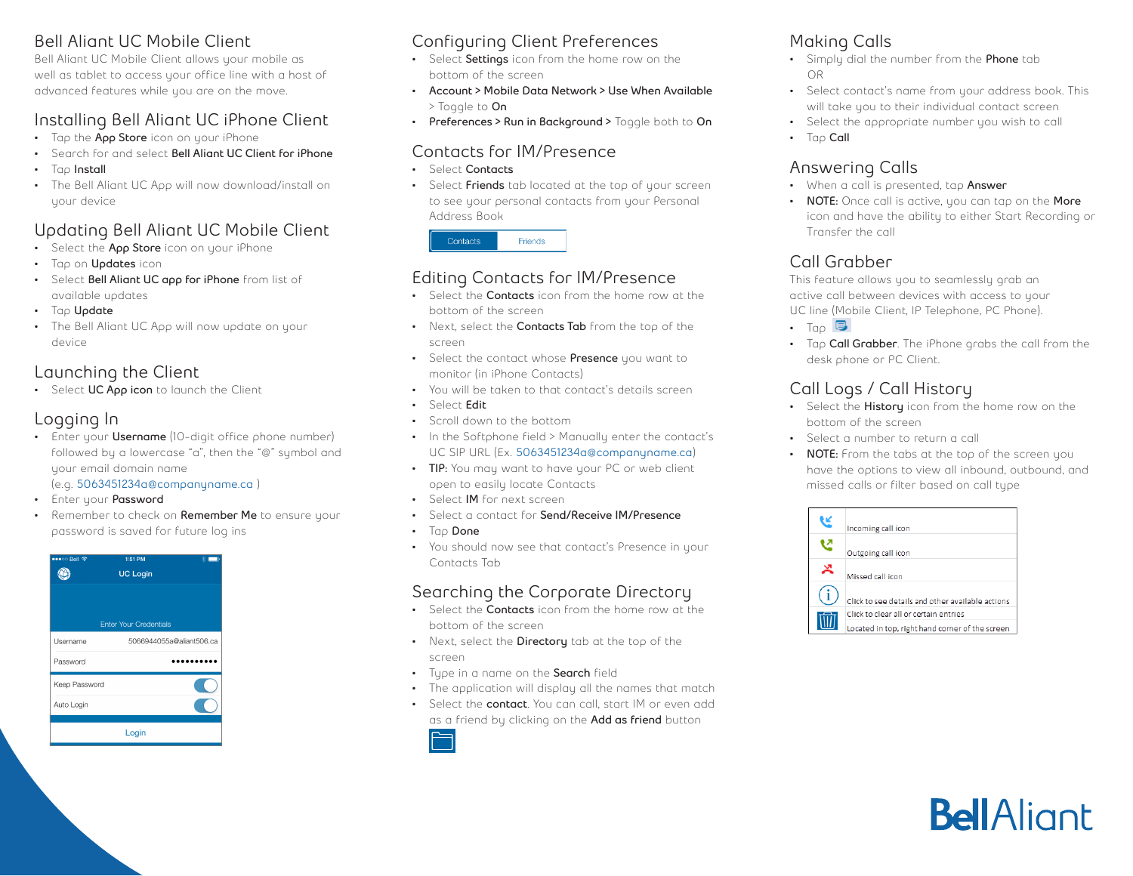#### **Bell Aliant UC Mobile Client**

Bell Aliant UC Mobile Client allows your mobile as well as tablet to access your office line with a host of advanced features while you are on the move.

#### **Installing Bell Aliant UC iPhone Client**

- Tap the **App Store** icon on your iPhone
- Search for and select **Bell Aliant UC Client for iPhone**
- Tap **Install**
- The Bell Aliant UC App will now download/install on your device

## **Updating Bell Aliant UC Mobile Client**

- Select the **App Store** icon on your iPhone
- Tap on **Updates** icon
- Select **Bell Aliant UC app for iPhone** from list of available updates
- Tap **Update**
- The Bell Aliant UC App will now update on your device

#### **Launching the Client**

• Select **UC App icon** to launch the Client

### **Logging In**

• Enter your **Username** (10-digit office phone number) followed by a lowercase "a", then the "@" symbol and your email domain name

#### (e.g. **5063451234a@companyname.ca** )

- Enter your **Password**
- Remember to check on **Remember Me** to ensure your password is saved for future log ins



### **Configuring Client Preferences**

- Select **Settings** icon from the home row on the bottom of the screen
- **• Account > Mobile Data Network > Use When Available** > Toggle to **On**
- **• Preferences > Run in Background >** Toggle both to **On**

#### **Contacts for IM/Presence**

- Select **Contacts**
- Select **Friends** tab located at the top of your screen to see your personal contacts from your Personal Address Book

| Friends<br>Contacts |  |
|---------------------|--|
|---------------------|--|

### **Editing Contacts for IM/Presence**

- Select the **Contacts** icon from the home row at the bottom of the screen
- Next, select the **Contacts Tab** from the top of the screen
- Select the contact whose **Presence** you want to monitor (in iPhone Contacts)
- You will be taken to that contact's details screen
- Select **Edit**
- Scroll down to the bottom
- In the Softphone field > Manually enter the contact's UC SIP URL (Ex. **5063451234a@companyname.ca**)
- **• TIP:** You may want to have your PC or web client open to easily locate Contacts
- Select **IM** for next screen
- Select a contact for **Send/Receive IM/Presence**
- Tap **Done**
- You should now see that contact's Presence in your Contacts Tab

#### **Searching the Corporate Directory**

- Select the **Contacts** icon from the home row at the bottom of the screen
- Next, select the **Directory** tab at the top of the screen
- Type in a name on the **Search** field
- The application will display all the names that match
- Select the **contact**. You can call, start IM or even add as a friend by clicking on the **Add as friend** button



#### **Making Calls**

- Simply dial the number from the **Phone** tab OR
- Select contact's name from your address book. This will take you to their individual contact screen
- Select the appropriate number you wish to call
- Tap **Call**

## **Answering Calls**

- When a call is presented, tap **Answer**
- **• NOTE:** Once call is active, you can tap on the **More** icon and have the ability to either Start Recording or Transfer the call

## **Call Grabber**

This feature allows you to seamlessly grab an active call between devices with access to your UC line (Mobile Client, IP Telephone, PC Phone).

- $\bullet$  Tap  $\blacksquare$
- Tap **Call Grabber**. The iPhone grabs the call from the desk phone or PC Client.

## **Call Logs / Call History**

- Select the **History** icon from the home row on the bottom of the screen
- Select a number to return a call
- **• NOTE:** From the tabs at the top of the screen you have the options to view all inbound, outbound, and missed calls or filter based on call type